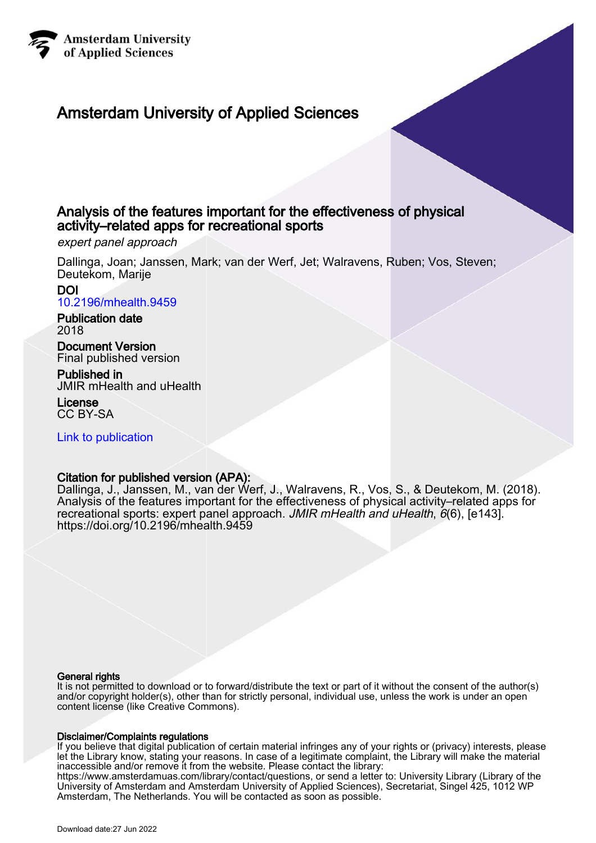

# Amsterdam University of Applied Sciences

# Analysis of the features important for the effectiveness of physical activity–related apps for recreational sports

expert panel approach

Dallinga, Joan; Janssen, Mark; van der Werf, Jet; Walravens, Ruben; Vos, Steven; Deutekom, Marije

DOI [10.2196/mhealth.9459](https://doi.org/10.2196/mhealth.9459)

Publication date 2018

Document Version Final published version

Published in JMIR mHealth and uHealth

License CC BY-SA

[Link to publication](https://research.hva.nl/en/publications/7c75417c-0a58-4307-a560-189242a2e908)

## Citation for published version (APA):

Dallinga, J., Janssen, M., van der Werf, J., Walravens, R., Vos, S., & Deutekom, M. (2018). Analysis of the features important for the effectiveness of physical activity–related apps for recreational sports: expert panel approach. JMIR mHealth and uHealth, 6(6), [e143]. <https://doi.org/10.2196/mhealth.9459>

#### General rights

It is not permitted to download or to forward/distribute the text or part of it without the consent of the author(s) and/or copyright holder(s), other than for strictly personal, individual use, unless the work is under an open content license (like Creative Commons).

#### Disclaimer/Complaints regulations

If you believe that digital publication of certain material infringes any of your rights or (privacy) interests, please let the Library know, stating your reasons. In case of a legitimate complaint, the Library will make the material inaccessible and/or remove it from the website. Please contact the library: https://www.amsterdamuas.com/library/contact/questions, or send a letter to: University Library (Library of the University of Amsterdam and Amsterdam University of Applied Sciences), Secretariat, Singel 425, 1012 WP Amsterdam, The Netherlands. You will be contacted as soon as possible.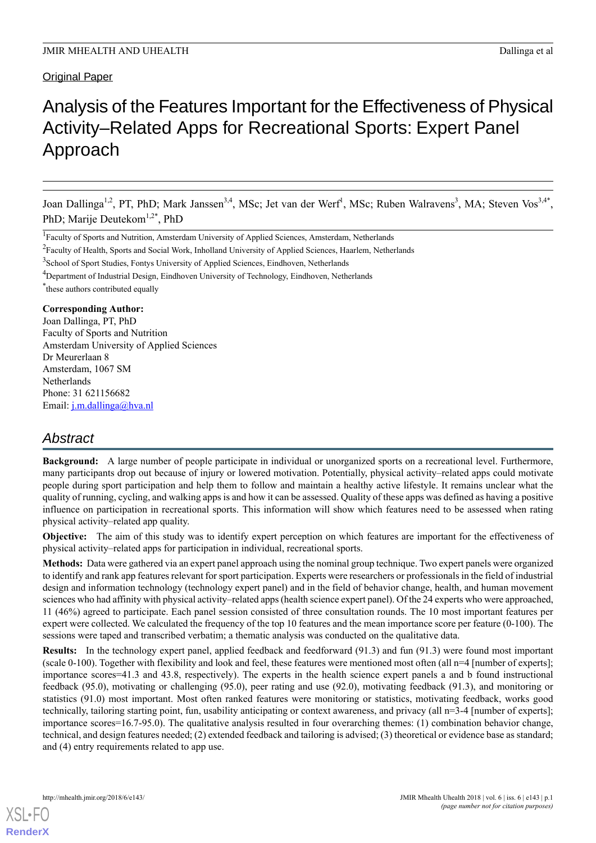# **Original Paper**

# Analysis of the Features Important for the Effectiveness of Physical Activity–Related Apps for Recreational Sports: Expert Panel Approach

Joan Dallinga<sup>1,2</sup>, PT, PhD; Mark Janssen<sup>3,4</sup>, MSc; Jet van der Werf<sup>1</sup>, MSc; Ruben Walravens<sup>3</sup>, MA; Steven Vos<sup>3,4\*</sup>, PhD; Marije Deutekom<sup>1,2\*</sup>, PhD

<sup>3</sup>School of Sport Studies, Fontys University of Applied Sciences, Eindhoven, Netherlands

\* these authors contributed equally

#### **Corresponding Author:**

Joan Dallinga, PT, PhD Faculty of Sports and Nutrition Amsterdam University of Applied Sciences Dr Meurerlaan 8 Amsterdam, 1067 SM **Netherlands** Phone: 31 621156682 Email: [j.m.dallinga@hva.nl](mailto:j.m.dallinga@hva.nl)

# *Abstract*

**Background:** A large number of people participate in individual or unorganized sports on a recreational level. Furthermore, many participants drop out because of injury or lowered motivation. Potentially, physical activity–related apps could motivate people during sport participation and help them to follow and maintain a healthy active lifestyle. It remains unclear what the quality of running, cycling, and walking apps is and how it can be assessed. Quality of these apps was defined as having a positive influence on participation in recreational sports. This information will show which features need to be assessed when rating physical activity–related app quality.

**Objective:** The aim of this study was to identify expert perception on which features are important for the effectiveness of physical activity–related apps for participation in individual, recreational sports.

**Methods:** Data were gathered via an expert panel approach using the nominal group technique. Two expert panels were organized to identify and rank app features relevant for sport participation. Experts were researchers or professionals in the field of industrial design and information technology (technology expert panel) and in the field of behavior change, health, and human movement sciences who had affinity with physical activity–related apps (health science expert panel). Of the 24 experts who were approached, 11 (46%) agreed to participate. Each panel session consisted of three consultation rounds. The 10 most important features per expert were collected. We calculated the frequency of the top 10 features and the mean importance score per feature (0-100). The sessions were taped and transcribed verbatim; a thematic analysis was conducted on the qualitative data.

**Results:** In the technology expert panel, applied feedback and feedforward (91.3) and fun (91.3) were found most important (scale 0-100). Together with flexibility and look and feel, these features were mentioned most often (all n=4 [number of experts]; importance scores=41.3 and 43.8, respectively). The experts in the health science expert panels a and b found instructional feedback (95.0), motivating or challenging (95.0), peer rating and use (92.0), motivating feedback (91.3), and monitoring or statistics (91.0) most important. Most often ranked features were monitoring or statistics, motivating feedback, works good technically, tailoring starting point, fun, usability anticipating or context awareness, and privacy (all n=3-4 [number of experts]; importance scores=16.7-95.0). The qualitative analysis resulted in four overarching themes: (1) combination behavior change, technical, and design features needed; (2) extended feedback and tailoring is advised; (3) theoretical or evidence base as standard; and (4) entry requirements related to app use.

<sup>&</sup>lt;sup>1</sup> Faculty of Sports and Nutrition, Amsterdam University of Applied Sciences, Amsterdam, Netherlands

<sup>&</sup>lt;sup>2</sup> Faculty of Health, Sports and Social Work, Inholland University of Applied Sciences, Haarlem, Netherlands

<sup>&</sup>lt;sup>4</sup>Department of Industrial Design, Eindhoven University of Technology, Eindhoven, Netherlands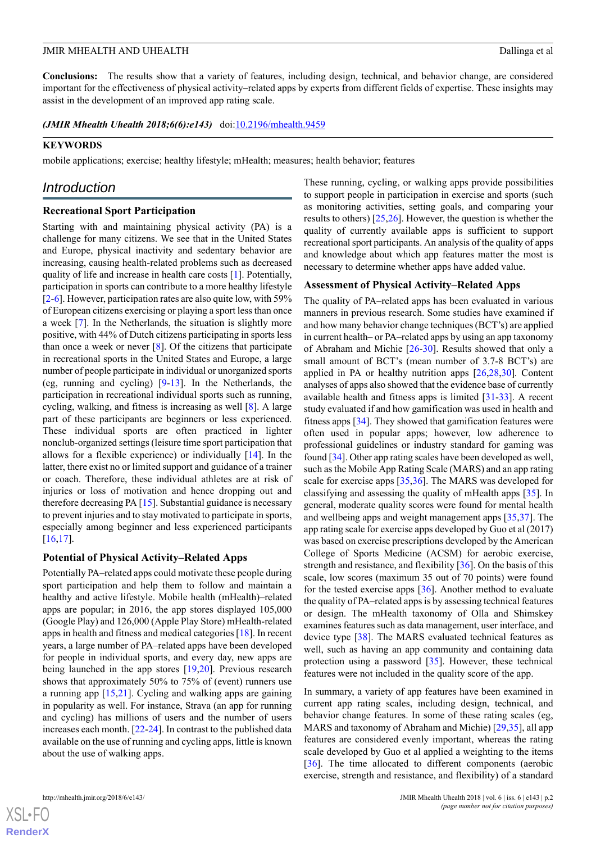**Conclusions:** The results show that a variety of features, including design, technical, and behavior change, are considered important for the effectiveness of physical activity–related apps by experts from different fields of expertise. These insights may assist in the development of an improved app rating scale.

*(JMIR Mhealth Uhealth 2018;6(6):e143)* doi[:10.2196/mhealth.9459](http://dx.doi.org/10.2196/mhealth.9459)

#### **KEYWORDS**

mobile applications; exercise; healthy lifestyle; mHealth; measures; health behavior; features

## *Introduction*

#### **Recreational Sport Participation**

Starting with and maintaining physical activity (PA) is a challenge for many citizens. We see that in the United States and Europe, physical inactivity and sedentary behavior are increasing, causing health-related problems such as decreased quality of life and increase in health care costs [\[1](#page-10-0)]. Potentially, participation in sports can contribute to a more healthy lifestyle [[2](#page-10-1)[-6](#page-10-2)]. However, participation rates are also quite low, with 59% of European citizens exercising or playing a sport less than once a week [\[7](#page-10-3)]. In the Netherlands, the situation is slightly more positive, with 44% of Dutch citizens participating in sports less than once a week or never [[8\]](#page-10-4). Of the citizens that participate in recreational sports in the United States and Europe, a large number of people participate in individual or unorganized sports (eg, running and cycling) [[9-](#page-10-5)[13](#page-10-6)]. In the Netherlands, the participation in recreational individual sports such as running, cycling, walking, and fitness is increasing as well [\[8](#page-10-4)]. A large part of these participants are beginners or less experienced. These individual sports are often practiced in lighter nonclub-organized settings (leisure time sport participation that allows for a flexible experience) or individually [[14\]](#page-10-7). In the latter, there exist no or limited support and guidance of a trainer or coach. Therefore, these individual athletes are at risk of injuries or loss of motivation and hence dropping out and therefore decreasing PA [\[15](#page-10-8)]. Substantial guidance is necessary to prevent injuries and to stay motivated to participate in sports, especially among beginner and less experienced participants [[16](#page-11-0)[,17](#page-11-1)].

#### **Potential of Physical Activity–Related Apps**

Potentially PA–related apps could motivate these people during sport participation and help them to follow and maintain a healthy and active lifestyle. Mobile health (mHealth)–related apps are popular; in 2016, the app stores displayed 105,000 (Google Play) and 126,000 (Apple Play Store) mHealth-related apps in health and fitness and medical categories [\[18](#page-11-2)]. In recent years, a large number of PA–related apps have been developed for people in individual sports, and every day, new apps are being launched in the app stores [[19,](#page-11-3)[20](#page-11-4)]. Previous research shows that approximately 50% to 75% of (event) runners use a running app [\[15](#page-10-8),[21\]](#page-11-5). Cycling and walking apps are gaining in popularity as well. For instance, Strava (an app for running and cycling) has millions of users and the number of users increases each month. [[22](#page-11-6)[-24](#page-11-7)]. In contrast to the published data available on the use of running and cycling apps, little is known about the use of walking apps.

 $XS$ -FO **[RenderX](http://www.renderx.com/)** These running, cycling, or walking apps provide possibilities to support people in participation in exercise and sports (such as monitoring activities, setting goals, and comparing your results to others) [\[25](#page-11-8),[26\]](#page-11-9). However, the question is whether the quality of currently available apps is sufficient to support recreational sport participants. An analysis of the quality of apps and knowledge about which app features matter the most is necessary to determine whether apps have added value.

#### **Assessment of Physical Activity–Related Apps**

The quality of PA–related apps has been evaluated in various manners in previous research. Some studies have examined if and how many behavior change techniques (BCT's) are applied in current health– or PA–related apps by using an app taxonomy of Abraham and Michie [\[26](#page-11-9)[-30](#page-11-10)]. Results showed that only a small amount of BCT's (mean number of 3.7-8 BCT's) are applied in PA or healthy nutrition apps [\[26](#page-11-9),[28,](#page-11-11)[30](#page-11-10)]*.* Content analyses of apps also showed that the evidence base of currently available health and fitness apps is limited [\[31](#page-11-12)[-33](#page-11-13)]. A recent study evaluated if and how gamification was used in health and fitness apps [[34\]](#page-11-14). They showed that gamification features were often used in popular apps; however, low adherence to professional guidelines or industry standard for gaming was found [[34\]](#page-11-14). Other app rating scales have been developed as well, such as the Mobile App Rating Scale (MARS) and an app rating scale for exercise apps [[35,](#page-11-15)[36](#page-11-16)]. The MARS was developed for classifying and assessing the quality of mHealth apps [[35\]](#page-11-15). In general, moderate quality scores were found for mental health and wellbeing apps and weight management apps [\[35](#page-11-15)[,37](#page-11-17)]. The app rating scale for exercise apps developed by Guo et al (2017) was based on exercise prescriptions developed by the American College of Sports Medicine (ACSM) for aerobic exercise, strength and resistance, and flexibility [[36\]](#page-11-16). On the basis of this scale, low scores (maximum 35 out of 70 points) were found for the tested exercise apps [[36\]](#page-11-16). Another method to evaluate the quality of PA–related apps is by assessing technical features or design. The mHealth taxonomy of Olla and Shimskey examines features such as data management, user interface, and device type [\[38](#page-11-18)]. The MARS evaluated technical features as well, such as having an app community and containing data protection using a password [[35\]](#page-11-15). However, these technical features were not included in the quality score of the app.

In summary, a variety of app features have been examined in current app rating scales, including design, technical, and behavior change features. In some of these rating scales (eg, MARS and taxonomy of Abraham and Michie) [[29](#page-11-19)[,35](#page-11-15)], all app features are considered evenly important, whereas the rating scale developed by Guo et al applied a weighting to the items [[36\]](#page-11-16). The time allocated to different components (aerobic exercise, strength and resistance, and flexibility) of a standard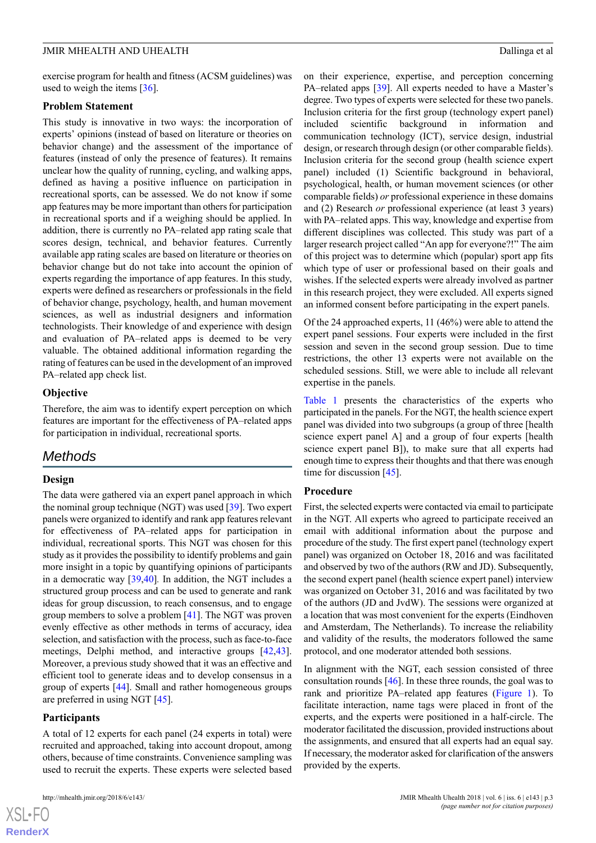exercise program for health and fitness (ACSM guidelines) was used to weigh the items [[36\]](#page-11-16).

#### **Problem Statement**

This study is innovative in two ways: the incorporation of experts' opinions (instead of based on literature or theories on behavior change) and the assessment of the importance of features (instead of only the presence of features). It remains unclear how the quality of running, cycling, and walking apps, defined as having a positive influence on participation in recreational sports, can be assessed. We do not know if some app features may be more important than others for participation in recreational sports and if a weighing should be applied. In addition, there is currently no PA–related app rating scale that scores design, technical, and behavior features. Currently available app rating scales are based on literature or theories on behavior change but do not take into account the opinion of experts regarding the importance of app features. In this study, experts were defined as researchers or professionals in the field of behavior change, psychology, health, and human movement sciences, as well as industrial designers and information technologists. Their knowledge of and experience with design and evaluation of PA–related apps is deemed to be very valuable. The obtained additional information regarding the rating of features can be used in the development of an improved PA–related app check list.

#### **Objective**

Therefore, the aim was to identify expert perception on which features are important for the effectiveness of PA–related apps for participation in individual, recreational sports.

# *Methods*

#### **Design**

The data were gathered via an expert panel approach in which the nominal group technique (NGT) was used [[39\]](#page-12-0). Two expert panels were organized to identify and rank app features relevant for effectiveness of PA–related apps for participation in individual, recreational sports. This NGT was chosen for this study as it provides the possibility to identify problems and gain more insight in a topic by quantifying opinions of participants in a democratic way [\[39](#page-12-0),[40\]](#page-12-1)*.* In addition, the NGT includes a structured group process and can be used to generate and rank ideas for group discussion, to reach consensus, and to engage group members to solve a problem [[41\]](#page-12-2). The NGT was proven evenly effective as other methods in terms of accuracy, idea selection, and satisfaction with the process, such as face-to-face meetings, Delphi method, and interactive groups [\[42](#page-12-3),[43\]](#page-12-4). Moreover, a previous study showed that it was an effective and efficient tool to generate ideas and to develop consensus in a group of experts [[44\]](#page-12-5). Small and rather homogeneous groups are preferred in using NGT [\[45](#page-12-6)].

#### **Participants**

A total of 12 experts for each panel (24 experts in total) were recruited and approached, taking into account dropout, among others, because of time constraints. Convenience sampling was used to recruit the experts. These experts were selected based

on their experience, expertise, and perception concerning PA–related apps [\[39](#page-12-0)]. All experts needed to have a Master's degree. Two types of experts were selected for these two panels. Inclusion criteria for the first group (technology expert panel) included scientific background in information and communication technology (ICT), service design, industrial design, or research through design (or other comparable fields). Inclusion criteria for the second group (health science expert panel) included (1) Scientific background in behavioral, psychological, health, or human movement sciences (or other comparable fields) *or* professional experience in these domains and (2) Research *or* professional experience (at least 3 years) with PA–related apps. This way, knowledge and expertise from different disciplines was collected. This study was part of a larger research project called "An app for everyone?!" The aim of this project was to determine which (popular) sport app fits which type of user or professional based on their goals and wishes. If the selected experts were already involved as partner in this research project, they were excluded. All experts signed an informed consent before participating in the expert panels.

Of the 24 approached experts, 11 (46%) were able to attend the expert panel sessions. Four experts were included in the first session and seven in the second group session. Due to time restrictions, the other 13 experts were not available on the scheduled sessions. Still, we were able to include all relevant expertise in the panels.

[Table 1](#page-4-0) presents the characteristics of the experts who participated in the panels. For the NGT, the health science expert panel was divided into two subgroups (a group of three [health science expert panel A] and a group of four experts [health science expert panel B]), to make sure that all experts had enough time to express their thoughts and that there was enough time for discussion [[45\]](#page-12-6).

#### **Procedure**

First, the selected experts were contacted via email to participate in the NGT. All experts who agreed to participate received an email with additional information about the purpose and procedure of the study. The first expert panel (technology expert panel) was organized on October 18, 2016 and was facilitated and observed by two of the authors (RW and JD). Subsequently, the second expert panel (health science expert panel) interview was organized on October 31, 2016 and was facilitated by two of the authors (JD and JvdW). The sessions were organized at a location that was most convenient for the experts (Eindhoven and Amsterdam, The Netherlands). To increase the reliability and validity of the results, the moderators followed the same protocol, and one moderator attended both sessions.

In alignment with the NGT, each session consisted of three consultation rounds [[46\]](#page-12-7). In these three rounds, the goal was to rank and prioritize PA–related app features ([Figure 1\)](#page-4-1). To facilitate interaction, name tags were placed in front of the experts, and the experts were positioned in a half-circle. The moderator facilitated the discussion, provided instructions about the assignments, and ensured that all experts had an equal say. If necessary, the moderator asked for clarification of the answers provided by the experts.

```
XS-FO
RenderX
```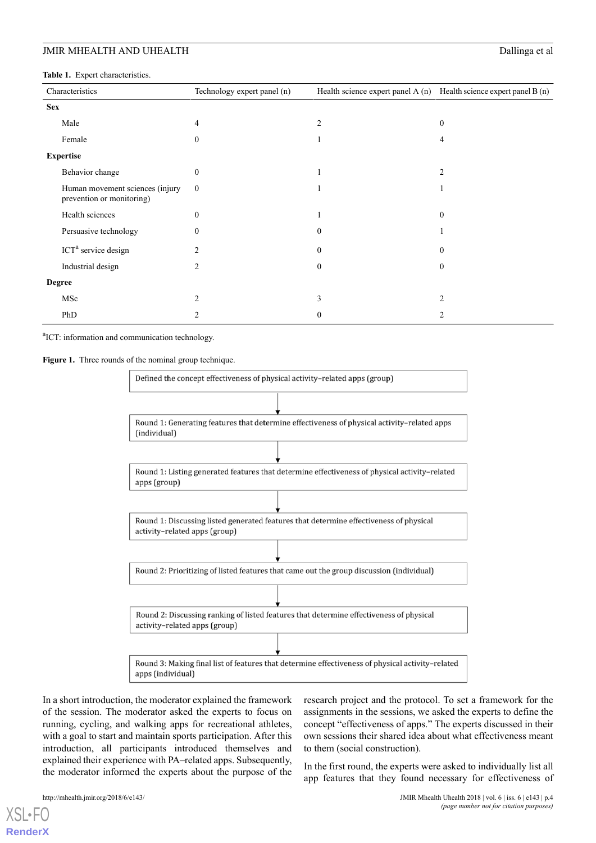<span id="page-4-0"></span>**Table 1.** Expert characteristics.

| Characteristics  |                                                              | Technology expert panel (n) | Health science expert panel A $(n)$ Health science expert panel B $(n)$ |                |  |  |
|------------------|--------------------------------------------------------------|-----------------------------|-------------------------------------------------------------------------|----------------|--|--|
| <b>Sex</b>       |                                                              |                             |                                                                         |                |  |  |
|                  | Male                                                         | 4                           | $\overline{2}$                                                          | $\theta$       |  |  |
|                  | Female                                                       | $\boldsymbol{0}$            |                                                                         | 4              |  |  |
| <b>Expertise</b> |                                                              |                             |                                                                         |                |  |  |
|                  | Behavior change                                              | $\mathbf{0}$                |                                                                         | $\overline{2}$ |  |  |
|                  | Human movement sciences (injury<br>prevention or monitoring) | $\boldsymbol{0}$            |                                                                         |                |  |  |
|                  | Health sciences                                              | $\mathbf{0}$                |                                                                         | $\mathbf{0}$   |  |  |
|                  | Persuasive technology                                        | $\Omega$                    | $\mathbf{0}$                                                            |                |  |  |
|                  | ICT <sup>a</sup> service design                              | $\overline{c}$              | $\mathbf{0}$                                                            | $\Omega$       |  |  |
|                  | Industrial design                                            | $\overline{2}$              | $\mathbf{0}$                                                            | $\theta$       |  |  |
| <b>Degree</b>    |                                                              |                             |                                                                         |                |  |  |
|                  | MSc                                                          | $\overline{2}$              | 3                                                                       | $\overline{2}$ |  |  |
|                  | PhD                                                          |                             | $\mathbf{0}$                                                            | 2              |  |  |

<span id="page-4-1"></span><sup>a</sup>ICT: information and communication technology.

Figure 1. Three rounds of the nominal group technique.



In a short introduction, the moderator explained the framework of the session. The moderator asked the experts to focus on running, cycling, and walking apps for recreational athletes, with a goal to start and maintain sports participation. After this introduction, all participants introduced themselves and explained their experience with PA–related apps. Subsequently, the moderator informed the experts about the purpose of the research project and the protocol. To set a framework for the assignments in the sessions, we asked the experts to define the concept "effectiveness of apps." The experts discussed in their own sessions their shared idea about what effectiveness meant to them (social construction).

In the first round, the experts were asked to individually list all app features that they found necessary for effectiveness of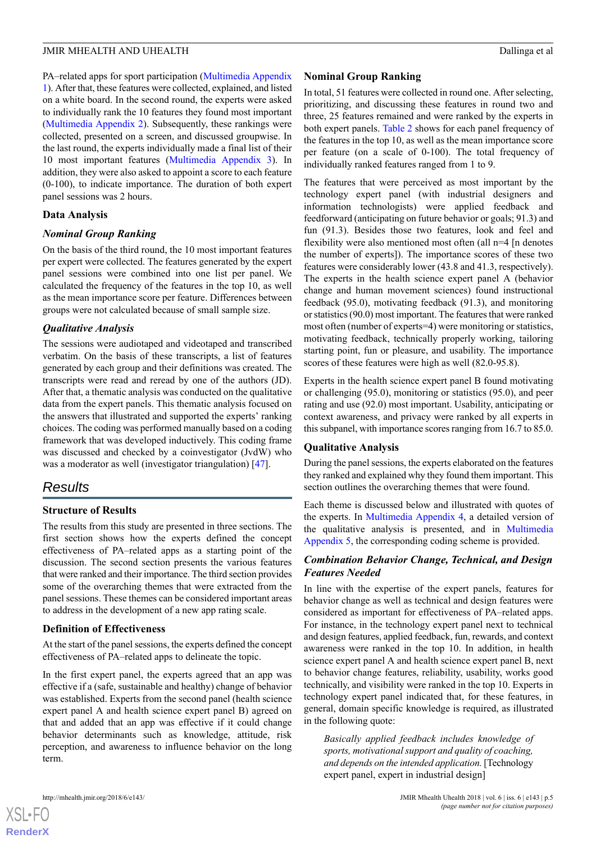PA–related apps for sport participation [\(Multimedia Appendix](#page-9-0) [1](#page-9-0)). After that, these features were collected, explained, and listed on a white board. In the second round, the experts were asked to individually rank the 10 features they found most important ([Multimedia Appendix 2](#page-10-9)). Subsequently, these rankings were collected, presented on a screen, and discussed groupwise. In the last round, the experts individually made a final list of their 10 most important features [\(Multimedia Appendix 3\)](#page-10-10). In addition, they were also asked to appoint a score to each feature (0-100), to indicate importance. The duration of both expert panel sessions was 2 hours.

#### **Data Analysis**

#### *Nominal Group Ranking*

On the basis of the third round, the 10 most important features per expert were collected. The features generated by the expert panel sessions were combined into one list per panel. We calculated the frequency of the features in the top 10, as well as the mean importance score per feature. Differences between groups were not calculated because of small sample size.

#### *Qualitative Analysis*

The sessions were audiotaped and videotaped and transcribed verbatim. On the basis of these transcripts, a list of features generated by each group and their definitions was created. The transcripts were read and reread by one of the authors (JD). After that, a thematic analysis was conducted on the qualitative data from the expert panels. This thematic analysis focused on the answers that illustrated and supported the experts' ranking choices. The coding was performed manually based on a coding framework that was developed inductively. This coding frame was discussed and checked by a coinvestigator (JvdW) who was a moderator as well (investigator triangulation) [[47\]](#page-12-8).

# *Results*

#### **Structure of Results**

The results from this study are presented in three sections. The first section shows how the experts defined the concept effectiveness of PA–related apps as a starting point of the discussion. The second section presents the various features that were ranked and their importance. The third section provides some of the overarching themes that were extracted from the panel sessions. These themes can be considered important areas to address in the development of a new app rating scale.

#### **Definition of Effectiveness**

At the start of the panel sessions, the experts defined the concept effectiveness of PA–related apps to delineate the topic.

In the first expert panel, the experts agreed that an app was effective if a (safe, sustainable and healthy) change of behavior was established. Experts from the second panel (health science expert panel A and health science expert panel B) agreed on that and added that an app was effective if it could change behavior determinants such as knowledge, attitude, risk perception, and awareness to influence behavior on the long term.

#### **Nominal Group Ranking**

In total, 51 features were collected in round one. After selecting, prioritizing, and discussing these features in round two and three, 25 features remained and were ranked by the experts in both expert panels. [Table 2](#page-6-0) shows for each panel frequency of the features in the top 10, as well as the mean importance score per feature (on a scale of 0-100). The total frequency of individually ranked features ranged from 1 to 9.

The features that were perceived as most important by the technology expert panel (with industrial designers and information technologists) were applied feedback and feedforward (anticipating on future behavior or goals; 91.3) and fun (91.3). Besides those two features, look and feel and flexibility were also mentioned most often (all n=4 [n denotes the number of experts]). The importance scores of these two features were considerably lower (43.8 and 41.3, respectively). The experts in the health science expert panel A (behavior change and human movement sciences) found instructional feedback (95.0), motivating feedback (91.3), and monitoring or statistics (90.0) most important. The features that were ranked most often (number of experts=4) were monitoring or statistics, motivating feedback, technically properly working, tailoring starting point, fun or pleasure, and usability. The importance scores of these features were high as well (82.0-95.8).

Experts in the health science expert panel B found motivating or challenging (95.0), monitoring or statistics (95.0), and peer rating and use (92.0) most important. Usability, anticipating or context awareness, and privacy were ranked by all experts in this subpanel, with importance scores ranging from 16.7 to 85.0.

#### **Qualitative Analysis**

During the panel sessions, the experts elaborated on the features they ranked and explained why they found them important. This section outlines the overarching themes that were found.

Each theme is discussed below and illustrated with quotes of the experts. In [Multimedia Appendix 4](#page-10-11), a detailed version of the qualitative analysis is presented, and in [Multimedia](#page-10-12) [Appendix 5,](#page-10-12) the corresponding coding scheme is provided.

#### *Combination Behavior Change, Technical, and Design Features Needed*

In line with the expertise of the expert panels, features for behavior change as well as technical and design features were considered as important for effectiveness of PA–related apps. For instance, in the technology expert panel next to technical and design features, applied feedback, fun, rewards, and context awareness were ranked in the top 10. In addition, in health science expert panel A and health science expert panel B, next to behavior change features, reliability, usability, works good technically, and visibility were ranked in the top 10. Experts in technology expert panel indicated that, for these features, in general, domain specific knowledge is required, as illustrated in the following quote:

*Basically applied feedback includes knowledge of sports, motivational support and quality of coaching, and depends on the intended application.* [Technology expert panel, expert in industrial design]

```
XSL•FO
RenderX
```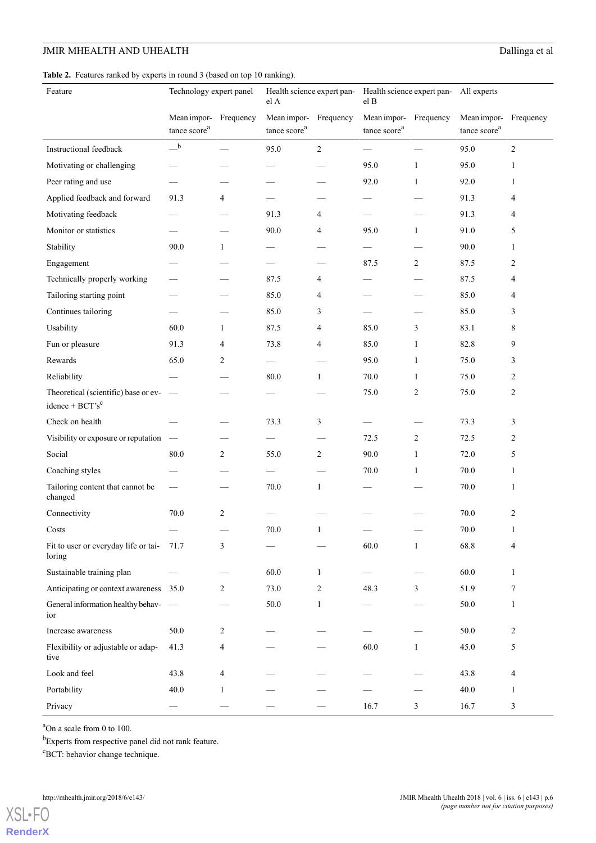# **JMIR MHEALTH AND UHEALTH** Dallinga et al

<span id="page-6-0"></span>

|  |  | Table 2. Features ranked by experts in round 3 (based on top 10 ranking). |  |  |  |
|--|--|---------------------------------------------------------------------------|--|--|--|
|--|--|---------------------------------------------------------------------------|--|--|--|

| Feature                                                    | Technology expert panel                           |   | Health science expert pan-<br>el A      |              | Health science expert pan-<br>All experts<br>el B |                |                                         |                |
|------------------------------------------------------------|---------------------------------------------------|---|-----------------------------------------|--------------|---------------------------------------------------|----------------|-----------------------------------------|----------------|
|                                                            | Mean impor- Frequency<br>tance score <sup>a</sup> |   | Mean impor-<br>tance score <sup>a</sup> | Frequency    | Mean impor- Frequency<br>tance score <sup>a</sup> |                | Mean impor-<br>tance score <sup>a</sup> | Frequency      |
| Instructional feedback                                     | $\mathbf b$                                       |   | 95.0                                    | 2            | $\overline{\phantom{0}}$                          |                | 95.0                                    | 2              |
| Motivating or challenging                                  |                                                   |   |                                         |              | 95.0                                              | 1              | 95.0                                    | 1              |
| Peer rating and use                                        |                                                   |   |                                         |              | 92.0                                              | 1              | 92.0                                    | 1              |
| Applied feedback and forward                               | 91.3                                              | 4 |                                         |              |                                                   |                | 91.3                                    | 4              |
| Motivating feedback                                        |                                                   |   | 91.3                                    | 4            |                                                   |                | 91.3                                    | 4              |
| Monitor or statistics                                      |                                                   |   | 90.0                                    | 4            | 95.0                                              | $\mathbf{1}$   | 91.0                                    | 5              |
| Stability                                                  | 90.0                                              | 1 |                                         |              | -                                                 |                | 90.0                                    | 1              |
| Engagement                                                 |                                                   |   | $\overline{\phantom{0}}$                |              | 87.5                                              | 2              | 87.5                                    | 2              |
| Technically properly working                               |                                                   |   | 87.5                                    | 4            |                                                   |                | 87.5                                    | 4              |
| Tailoring starting point                                   |                                                   |   | 85.0                                    | 4            |                                                   |                | 85.0                                    | 4              |
| Continues tailoring                                        |                                                   |   | 85.0                                    | 3            | $\sim$                                            |                | 85.0                                    | 3              |
| Usability                                                  | 60.0                                              | 1 | 87.5                                    | 4            | 85.0                                              | 3              | 83.1                                    | 8              |
| Fun or pleasure                                            | 91.3                                              | 4 | 73.8                                    | 4            | 85.0                                              | 1              | 82.8                                    | 9              |
| Rewards                                                    | 65.0                                              | 2 | $\overline{\phantom{0}}$                |              | 95.0                                              | 1              | 75.0                                    | 3              |
| Reliability                                                |                                                   |   | 80.0                                    | 1            | 70.0                                              | 1              | 75.0                                    | 2              |
| Theoretical (scientific) base or ev-<br>$idence + BCT's^c$ |                                                   |   |                                         |              | 75.0                                              | $\overline{2}$ | 75.0                                    | $\overline{c}$ |
| Check on health                                            |                                                   |   | 73.3                                    | 3            | —                                                 |                | 73.3                                    | 3              |
| Visibility or exposure or reputation                       |                                                   |   |                                         |              | 72.5                                              | 2              | 72.5                                    | 2              |
| Social                                                     | 80.0                                              | 2 | 55.0                                    | 2            | 90.0                                              | 1              | 72.0                                    | 5              |
| Coaching styles                                            |                                                   |   |                                         |              | 70.0                                              | 1              | 70.0                                    | 1              |
| Tailoring content that cannot be<br>changed                |                                                   |   | 70.0                                    | $\mathbf{1}$ |                                                   |                | 70.0                                    | 1              |
| Connectivity                                               | 70.0                                              | 2 |                                         |              |                                                   |                | 70.0                                    | $\overline{2}$ |
| Costs                                                      |                                                   |   | $70.0\,$                                | 1            |                                                   |                | 70.0                                    | 1              |
| Fit to user or everyday life or tai- 71.7<br>loring        |                                                   | 3 |                                         |              | 60.0                                              | $\mathbf{1}$   | 68.8                                    | 4              |
| Sustainable training plan                                  |                                                   |   | 60.0                                    | 1            |                                                   |                | 60.0                                    | $\mathbf{1}$   |
| Anticipating or context awareness 35.0                     |                                                   | 2 | 73.0                                    | 2            | 48.3                                              | 3              | 51.9                                    | 7              |
| General information healthy behav-<br>ior                  |                                                   |   | 50.0                                    | 1            |                                                   |                | 50.0                                    | 1              |
| Increase awareness                                         | 50.0                                              | 2 |                                         |              |                                                   |                | 50.0                                    | $\overline{c}$ |
| Flexibility or adjustable or adap-<br>tive                 | 41.3                                              | 4 |                                         |              | 60.0                                              | 1              | 45.0                                    | 5              |
| Look and feel                                              | 43.8                                              | 4 |                                         |              |                                                   |                | 43.8                                    | 4              |
| Portability                                                | 40.0                                              | 1 |                                         |              |                                                   |                | 40.0                                    | 1              |
| Privacy                                                    |                                                   |   |                                         |              | 16.7                                              | $\mathfrak{Z}$ | 16.7                                    | 3              |

<sup>a</sup>On a scale from 0 to 100.

<sup>b</sup>Experts from respective panel did not rank feature.

<sup>c</sup>BCT: behavior change technique.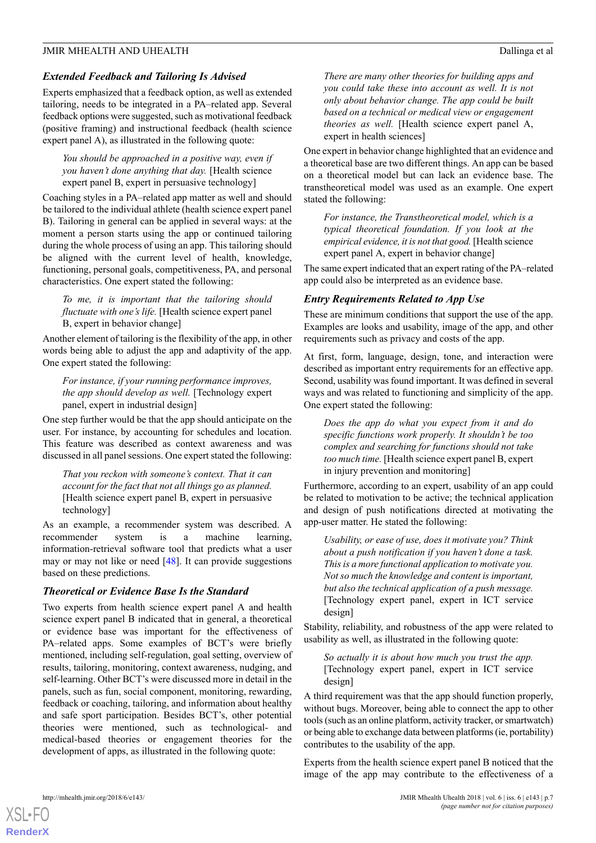#### *Extended Feedback and Tailoring Is Advised*

Experts emphasized that a feedback option, as well as extended tailoring, needs to be integrated in a PA–related app. Several feedback options were suggested, such as motivational feedback (positive framing) and instructional feedback (health science expert panel A), as illustrated in the following quote:

*You should be approached in a positive way, even if you haven't done anything that day.* [Health science expert panel B, expert in persuasive technology]

Coaching styles in a PA–related app matter as well and should be tailored to the individual athlete (health science expert panel B). Tailoring in general can be applied in several ways: at the moment a person starts using the app or continued tailoring during the whole process of using an app. This tailoring should be aligned with the current level of health, knowledge, functioning, personal goals, competitiveness, PA, and personal characteristics. One expert stated the following:

*To me, it is important that the tailoring should fluctuate with one's life.* [Health science expert panel B, expert in behavior change]

Another element of tailoring is the flexibility of the app, in other words being able to adjust the app and adaptivity of the app. One expert stated the following:

*For instance, if your running performance improves, the app should develop as well.* [Technology expert panel, expert in industrial design]

One step further would be that the app should anticipate on the user. For instance, by accounting for schedules and location. This feature was described as context awareness and was discussed in all panel sessions. One expert stated the following:

*That you reckon with someone's context. That it can account for the fact that not all things go as planned.* [Health science expert panel B, expert in persuasive technology]

As an example, a recommender system was described. A recommender system is a machine learning, information-retrieval software tool that predicts what a user may or may not like or need  $[48]$  $[48]$ . It can provide suggestions based on these predictions.

#### *Theoretical or Evidence Base Is the Standard*

Two experts from health science expert panel A and health science expert panel B indicated that in general, a theoretical or evidence base was important for the effectiveness of PA–related apps. Some examples of BCT's were briefly mentioned, including self-regulation, goal setting, overview of results, tailoring, monitoring, context awareness, nudging, and self-learning. Other BCT's were discussed more in detail in the panels, such as fun, social component, monitoring, rewarding, feedback or coaching, tailoring, and information about healthy and safe sport participation. Besides BCT's, other potential theories were mentioned, such as technological- and medical-based theories or engagement theories for the development of apps, as illustrated in the following quote:

*There are many other theories for building apps and you could take these into account as well. It is not only about behavior change. The app could be built based on a technical or medical view or engagement theories as well.* [Health science expert panel A, expert in health sciences]

One expert in behavior change highlighted that an evidence and a theoretical base are two different things. An app can be based on a theoretical model but can lack an evidence base. The transtheoretical model was used as an example. One expert stated the following:

*For instance, the Transtheoretical model, which is a typical theoretical foundation. If you look at the empirical evidence, it is not that good.* [Health science expert panel A, expert in behavior change]

The same expert indicated that an expert rating of the PA–related app could also be interpreted as an evidence base.

#### *Entry Requirements Related to App Use*

These are minimum conditions that support the use of the app. Examples are looks and usability, image of the app, and other requirements such as privacy and costs of the app.

At first, form, language, design, tone, and interaction were described as important entry requirements for an effective app. Second, usability was found important. It was defined in several ways and was related to functioning and simplicity of the app. One expert stated the following:

*Does the app do what you expect from it and do specific functions work properly. It shouldn't be too complex and searching for functions should not take too much time.* [Health science expert panel B, expert in injury prevention and monitoring]

Furthermore, according to an expert, usability of an app could be related to motivation to be active; the technical application and design of push notifications directed at motivating the app-user matter. He stated the following:

*Usability, or ease of use, does it motivate you? Think about a push notification if you haven't done a task. This is a more functional application to motivate you. Not so much the knowledge and content is important, but also the technical application of a push message.* [Technology expert panel, expert in ICT service design]

Stability, reliability, and robustness of the app were related to usability as well, as illustrated in the following quote:

*So actually it is about how much you trust the app.* [Technology expert panel, expert in ICT service design]

A third requirement was that the app should function properly, without bugs. Moreover, being able to connect the app to other tools (such as an online platform, activity tracker, or smartwatch) or being able to exchange data between platforms (ie, portability) contributes to the usability of the app.

Experts from the health science expert panel B noticed that the image of the app may contribute to the effectiveness of a



**[RenderX](http://www.renderx.com/)**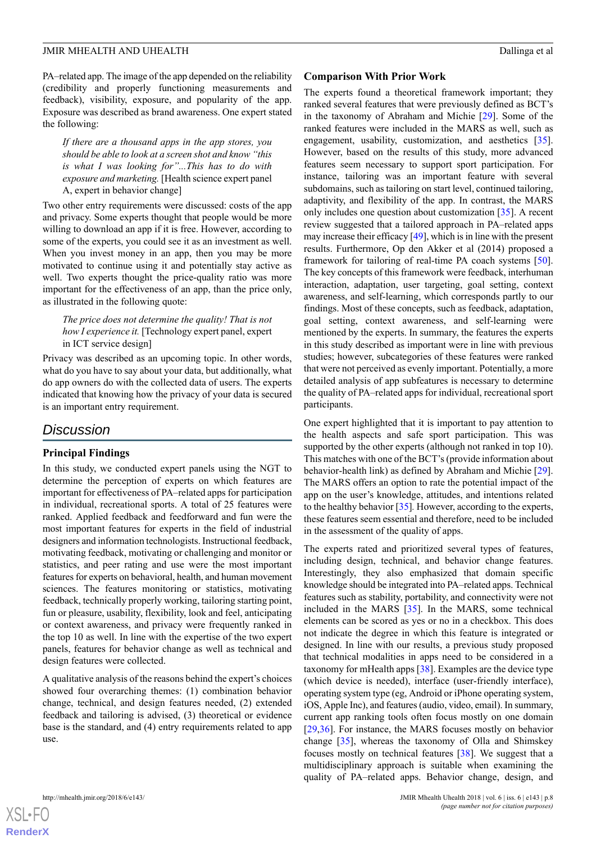PA–related app. The image of the app depended on the reliability (credibility and properly functioning measurements and feedback), visibility, exposure, and popularity of the app. Exposure was described as brand awareness. One expert stated the following:

*If there are a thousand apps in the app stores, you should be able to look at a screen shot and know "this is what I was looking for"...This has to do with exposure and marketing.* [Health science expert panel A, expert in behavior change]

Two other entry requirements were discussed: costs of the app and privacy. Some experts thought that people would be more willing to download an app if it is free. However, according to some of the experts, you could see it as an investment as well. When you invest money in an app, then you may be more motivated to continue using it and potentially stay active as well. Two experts thought the price-quality ratio was more important for the effectiveness of an app, than the price only, as illustrated in the following quote:

*The price does not determine the quality! That is not how I experience it.* [Technology expert panel, expert in ICT service design]

Privacy was described as an upcoming topic. In other words, what do you have to say about your data, but additionally, what do app owners do with the collected data of users. The experts indicated that knowing how the privacy of your data is secured is an important entry requirement.

# *Discussion*

#### **Principal Findings**

In this study, we conducted expert panels using the NGT to determine the perception of experts on which features are important for effectiveness of PA–related apps for participation in individual, recreational sports. A total of 25 features were ranked. Applied feedback and feedforward and fun were the most important features for experts in the field of industrial designers and information technologists. Instructional feedback, motivating feedback, motivating or challenging and monitor or statistics, and peer rating and use were the most important features for experts on behavioral, health, and human movement sciences. The features monitoring or statistics, motivating feedback, technically properly working, tailoring starting point, fun or pleasure, usability, flexibility, look and feel, anticipating or context awareness, and privacy were frequently ranked in the top 10 as well. In line with the expertise of the two expert panels, features for behavior change as well as technical and design features were collected.

A qualitative analysis of the reasons behind the expert's choices showed four overarching themes: (1) combination behavior change, technical, and design features needed, (2) extended feedback and tailoring is advised, (3) theoretical or evidence base is the standard, and (4) entry requirements related to app use.

#### **Comparison With Prior Work**

The experts found a theoretical framework important; they ranked several features that were previously defined as BCT's in the taxonomy of Abraham and Michie [\[29](#page-11-19)]. Some of the ranked features were included in the MARS as well, such as engagement, usability, customization, and aesthetics [[35\]](#page-11-15). However, based on the results of this study, more advanced features seem necessary to support sport participation. For instance, tailoring was an important feature with several subdomains, such as tailoring on start level, continued tailoring, adaptivity, and flexibility of the app. In contrast, the MARS only includes one question about customization [\[35](#page-11-15)]. A recent review suggested that a tailored approach in PA–related apps may increase their efficacy [\[49\]](#page-12-10), which is in line with the present results. Furthermore, Op den Akker et al (2014) proposed a framework for tailoring of real-time PA coach systems [[50\]](#page-12-11). The key concepts of this framework were feedback, interhuman interaction, adaptation, user targeting, goal setting, context awareness, and self-learning, which corresponds partly to our findings. Most of these concepts, such as feedback, adaptation, goal setting, context awareness, and self-learning were mentioned by the experts. In summary, the features the experts in this study described as important were in line with previous studies; however, subcategories of these features were ranked that were not perceived as evenly important. Potentially, a more detailed analysis of app subfeatures is necessary to determine the quality of PA–related apps for individual, recreational sport participants.

One expert highlighted that it is important to pay attention to the health aspects and safe sport participation. This was supported by the other experts (although not ranked in top 10). This matches with one of the BCT's (provide information about behavior-health link) as defined by Abraham and Michie [[29\]](#page-11-19). The MARS offers an option to rate the potential impact of the app on the user's knowledge, attitudes, and intentions related to the healthy behavior [[35](#page-11-15)]*.* However, according to the experts, these features seem essential and therefore, need to be included in the assessment of the quality of apps.

The experts rated and prioritized several types of features, including design, technical, and behavior change features. Interestingly, they also emphasized that domain specific knowledge should be integrated into PA–related apps. Technical features such as stability, portability, and connectivity were not included in the MARS [[35\]](#page-11-15). In the MARS, some technical elements can be scored as yes or no in a checkbox. This does not indicate the degree in which this feature is integrated or designed. In line with our results, a previous study proposed that technical modalities in apps need to be considered in a taxonomy for mHealth apps [[38\]](#page-11-18). Examples are the device type (which device is needed), interface (user-friendly interface), operating system type (eg, Android or iPhone operating system, iOS, Apple Inc), and features (audio, video, email). In summary, current app ranking tools often focus mostly on one domain [[29,](#page-11-19)[36\]](#page-11-16). For instance, the MARS focuses mostly on behavior change [[35\]](#page-11-15), whereas the taxonomy of Olla and Shimskey focuses mostly on technical features [[38\]](#page-11-18). We suggest that a multidisciplinary approach is suitable when examining the quality of PA–related apps. Behavior change, design, and

```
http://mhealth.jmir.org/2018/6/e143/ JMIR Mhealth Uhealth Uhealth 2018 | vol. 6 | iss. 6 | e143 | p.8
```
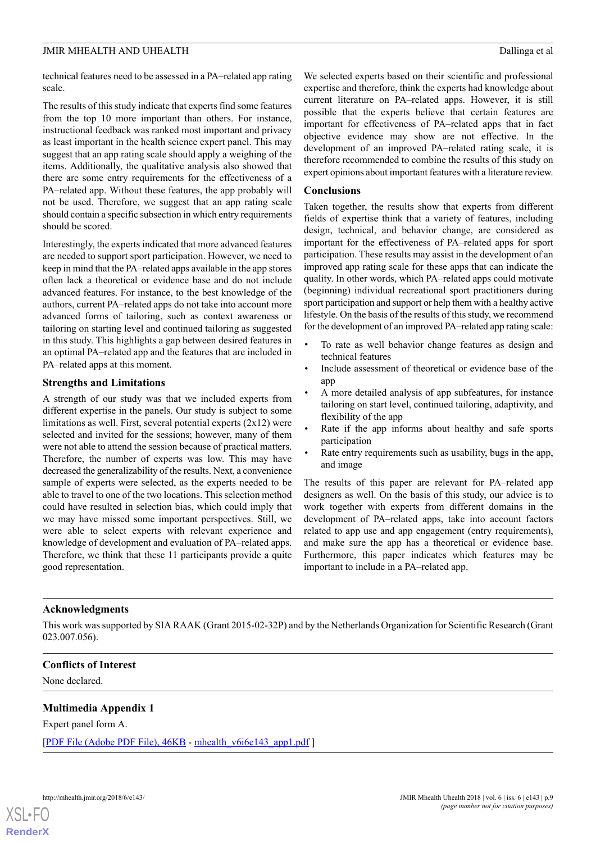technical features need to be assessed in a PA–related app rating scale.

The results of this study indicate that experts find some features from the top 10 more important than others. For instance, instructional feedback was ranked most important and privacy as least important in the health science expert panel. This may suggest that an app rating scale should apply a weighing of the items. Additionally, the qualitative analysis also showed that there are some entry requirements for the effectiveness of a PA–related app. Without these features, the app probably will not be used. Therefore, we suggest that an app rating scale should contain a specific subsection in which entry requirements should be scored.

Interestingly, the experts indicated that more advanced features are needed to support sport participation. However, we need to keep in mind that the PA–related apps available in the app stores often lack a theoretical or evidence base and do not include advanced features. For instance, to the best knowledge of the authors, current PA–related apps do not take into account more advanced forms of tailoring, such as context awareness or tailoring on starting level and continued tailoring as suggested in this study. This highlights a gap between desired features in an optimal PA–related app and the features that are included in PA–related apps at this moment.

#### **Strengths and Limitations**

A strength of our study was that we included experts from different expertise in the panels. Our study is subject to some limitations as well. First, several potential experts (2x12) were selected and invited for the sessions; however, many of them were not able to attend the session because of practical matters. Therefore, the number of experts was low. This may have decreased the generalizability of the results. Next, a convenience sample of experts were selected, as the experts needed to be able to travel to one of the two locations. This selection method could have resulted in selection bias, which could imply that we may have missed some important perspectives. Still, we were able to select experts with relevant experience and knowledge of development and evaluation of PA–related apps. Therefore, we think that these 11 participants provide a quite good representation.

We selected experts based on their scientific and professional expertise and therefore, think the experts had knowledge about current literature on PA–related apps. However, it is still possible that the experts believe that certain features are important for effectiveness of PA–related apps that in fact objective evidence may show are not effective. In the development of an improved PA–related rating scale, it is therefore recommended to combine the results of this study on expert opinions about important features with a literature review.

#### **Conclusions**

Taken together, the results show that experts from different fields of expertise think that a variety of features, including design, technical, and behavior change, are considered as important for the effectiveness of PA–related apps for sport participation. These results may assist in the development of an improved app rating scale for these apps that can indicate the quality. In other words, which PA–related apps could motivate (beginning) individual recreational sport practitioners during sport participation and support or help them with a healthy active lifestyle. On the basis of the results of this study, we recommend for the development of an improved PA–related app rating scale:

- To rate as well behavior change features as design and technical features
- Include assessment of theoretical or evidence base of the app
- A more detailed analysis of app subfeatures, for instance tailoring on start level, continued tailoring, adaptivity, and flexibility of the app
- Rate if the app informs about healthy and safe sports participation
- Rate entry requirements such as usability, bugs in the app, and image

The results of this paper are relevant for PA–related app designers as well. On the basis of this study, our advice is to work together with experts from different domains in the development of PA–related apps, take into account factors related to app use and app engagement (entry requirements), and make sure the app has a theoretical or evidence base. Furthermore, this paper indicates which features may be important to include in a PA–related app.

#### **Acknowledgments**

<span id="page-9-0"></span>This work was supported by SIA RAAK (Grant 2015-02-32P) and by the Netherlands Organization for Scientific Research (Grant 023.007.056).

### **Conflicts of Interest**

None declared.

#### **Multimedia Appendix 1**

Expert panel form A.

[[PDF File \(Adobe PDF File\), 46KB](https://mhealth.jmir.org/article/downloadSuppFile/9459/63992) - [mhealth\\_v6i6e143\\_app1.pdf](https://mhealth.jmir.org/article/downloadSuppFile/9459/63992)]

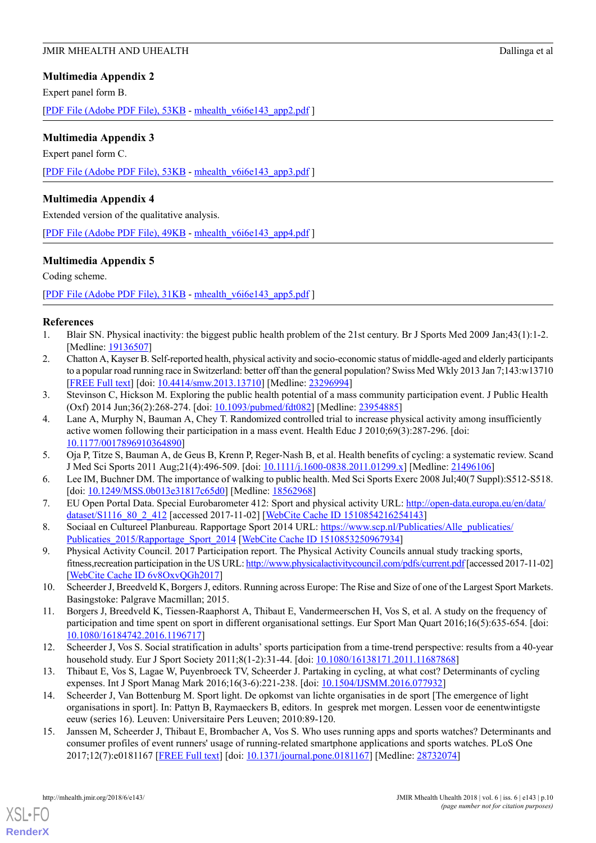#### <span id="page-10-9"></span>**Multimedia Appendix 2**

Expert panel form B.

[[PDF File \(Adobe PDF File\), 53KB](https://mhealth.jmir.org/article/downloadSuppFile/9459/63993) - [mhealth\\_v6i6e143\\_app2.pdf](https://mhealth.jmir.org/article/downloadSuppFile/9459/63993) ]

#### <span id="page-10-10"></span>**Multimedia Appendix 3**

Expert panel form C. [[PDF File \(Adobe PDF File\), 53KB](https://mhealth.jmir.org/article/downloadSuppFile/9459/63994) - [mhealth\\_v6i6e143\\_app3.pdf](https://mhealth.jmir.org/article/downloadSuppFile/9459/63994) ]

#### <span id="page-10-11"></span>**Multimedia Appendix 4**

Extended version of the qualitative analysis.

<span id="page-10-12"></span>[[PDF File \(Adobe PDF File\), 49KB](https://mhealth.jmir.org/article/downloadSuppFile/9459/71425) - [mhealth\\_v6i6e143\\_app4.pdf](https://mhealth.jmir.org/article/downloadSuppFile/9459/71425) ]

#### **Multimedia Appendix 5**

Coding scheme.

<span id="page-10-0"></span>[[PDF File \(Adobe PDF File\), 31KB](https://mhealth.jmir.org/article/downloadSuppFile/9459/63995) - [mhealth\\_v6i6e143\\_app5.pdf](https://mhealth.jmir.org/article/downloadSuppFile/9459/63995) ]

#### <span id="page-10-1"></span>**References**

- 1. Blair SN. Physical inactivity: the biggest public health problem of the 21st century. Br J Sports Med 2009 Jan;43(1):1-2. [Medline: [19136507](http://www.ncbi.nlm.nih.gov/entrez/query.fcgi?cmd=Retrieve&db=PubMed&list_uids=19136507&dopt=Abstract)]
- 2. Chatton A, Kayser B. Self-reported health, physical activity and socio-economic status of middle-aged and elderly participants to a popular road running race in Switzerland: better off than the general population? Swiss Med Wkly 2013 Jan 7;143:w13710 [[FREE Full text](http://doi.emh.ch/10.4414/smw.2013.13710)] [doi: [10.4414/smw.2013.13710](http://dx.doi.org/10.4414/smw.2013.13710)] [Medline: [23296994\]](http://www.ncbi.nlm.nih.gov/entrez/query.fcgi?cmd=Retrieve&db=PubMed&list_uids=23296994&dopt=Abstract)
- 3. Stevinson C, Hickson M. Exploring the public health potential of a mass community participation event. J Public Health (Oxf) 2014 Jun;36(2):268-274. [doi: [10.1093/pubmed/fdt082\]](http://dx.doi.org/10.1093/pubmed/fdt082) [Medline: [23954885\]](http://www.ncbi.nlm.nih.gov/entrez/query.fcgi?cmd=Retrieve&db=PubMed&list_uids=23954885&dopt=Abstract)
- <span id="page-10-2"></span>4. Lane A, Murphy N, Bauman A, Chey T. Randomized controlled trial to increase physical activity among insufficiently active women following their participation in a mass event. Health Educ J 2010;69(3):287-296. [doi: [10.1177/0017896910364890](http://dx.doi.org/10.1177/0017896910364890)]
- <span id="page-10-3"></span>5. Oja P, Titze S, Bauman A, de Geus B, Krenn P, Reger-Nash B, et al. Health benefits of cycling: a systematic review. Scand J Med Sci Sports 2011 Aug;21(4):496-509. [doi: [10.1111/j.1600-0838.2011.01299.x](http://dx.doi.org/10.1111/j.1600-0838.2011.01299.x)] [Medline: [21496106\]](http://www.ncbi.nlm.nih.gov/entrez/query.fcgi?cmd=Retrieve&db=PubMed&list_uids=21496106&dopt=Abstract)
- <span id="page-10-4"></span>6. Lee IM, Buchner DM. The importance of walking to public health. Med Sci Sports Exerc 2008 Jul;40(7 Suppl):S512-S518. [doi: [10.1249/MSS.0b013e31817c65d0](http://dx.doi.org/10.1249/MSS.0b013e31817c65d0)] [Medline: [18562968](http://www.ncbi.nlm.nih.gov/entrez/query.fcgi?cmd=Retrieve&db=PubMed&list_uids=18562968&dopt=Abstract)]
- <span id="page-10-5"></span>7. EU Open Portal Data. Special Eurobarometer 412: Sport and physical activity URL: [http://open-data.europa.eu/en/data/](http://open-data.europa.eu/en/data/dataset/S1116_80_2_412) [dataset/S1116\\_80\\_2\\_412](http://open-data.europa.eu/en/data/dataset/S1116_80_2_412) [accessed 2017-11-02] [[WebCite Cache ID 1510854216254143](http://www.webcitation.org/1510854216254143)]
- 8. Sociaal en Cultureel Planbureau. Rapportage Sport 2014 URL: [https://www.scp.nl/Publicaties/Alle\\_publicaties/](https://www.scp.nl/Publicaties/Alle_publicaties/Publicaties_2015/Rapportage_Sport_2014) [Publicaties\\_2015/Rapportage\\_Sport\\_2014](https://www.scp.nl/Publicaties/Alle_publicaties/Publicaties_2015/Rapportage_Sport_2014) [[WebCite Cache ID 1510853250967934](http://www.webcitation.org/1510853250967934)]
- 9. Physical Activity Council. 2017 Participation report. The Physical Activity Councils annual study tracking sports, fitness,recreation participation in the US URL:<http://www.physicalactivitycouncil.com/pdfs/current.pdf> [accessed 2017-11-02] [[WebCite Cache ID 6v8OxvQGh2017](http://www.webcitation.org/6v8OxvQGh2017)]
- 10. Scheerder J, Breedveld K, Borgers J, editors. Running across Europe: The Rise and Size of one of the Largest Sport Markets. Basingstoke: Palgrave Macmillan; 2015.
- <span id="page-10-7"></span><span id="page-10-6"></span>11. Borgers J, Breedveld K, Tiessen-Raaphorst A, Thibaut E, Vandermeerschen H, Vos S, et al. A study on the frequency of participation and time spent on sport in different organisational settings. Eur Sport Man Quart 2016;16(5):635-654. [doi: [10.1080/16184742.2016.1196717](http://dx.doi.org/10.1080/16184742.2016.1196717)]
- <span id="page-10-8"></span>12. Scheerder J, Vos S. Social stratification in adults' sports participation from a time-trend perspective: results from a 40-year household study. Eur J Sport Society 2011;8(1-2):31-44. [doi: [10.1080/16138171.2011.11687868](http://dx.doi.org/10.1080/16138171.2011.11687868)]
- 13. Thibaut E, Vos S, Lagae W, Puyenbroeck TV, Scheerder J. Partaking in cycling, at what cost? Determinants of cycling expenses. Int J Sport Manag Mark 2016;16(3-6):221-238. [doi: [10.1504/IJSMM.2016.077932](http://dx.doi.org/10.1504/IJSMM.2016.077932)]
- 14. Scheerder J, Van Bottenburg M. Sport light. De opkomst van lichte organisaties in de sport [The emergence of light organisations in sport]. In: Pattyn B, Raymaeckers B, editors. In gesprek met morgen. Lessen voor de eenentwintigste eeuw (series 16). Leuven: Universitaire Pers Leuven; 2010:89-120.
- 15. Janssen M, Scheerder J, Thibaut E, Brombacher A, Vos S. Who uses running apps and sports watches? Determinants and consumer profiles of event runners' usage of running-related smartphone applications and sports watches. PLoS One 2017;12(7):e0181167 [[FREE Full text](http://dx.plos.org/10.1371/journal.pone.0181167)] [doi: [10.1371/journal.pone.0181167\]](http://dx.doi.org/10.1371/journal.pone.0181167) [Medline: [28732074\]](http://www.ncbi.nlm.nih.gov/entrez/query.fcgi?cmd=Retrieve&db=PubMed&list_uids=28732074&dopt=Abstract)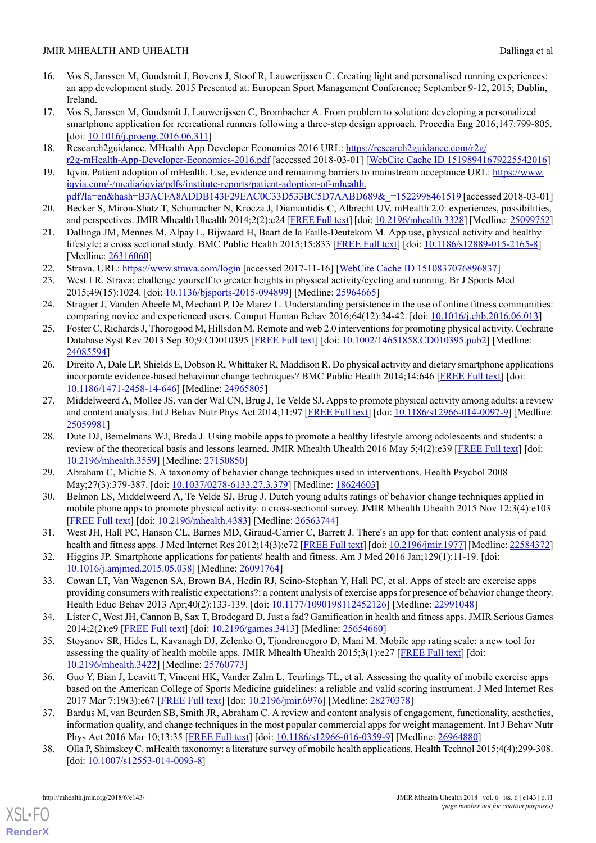- <span id="page-11-0"></span>16. Vos S, Janssen M, Goudsmit J, Bovens J, Stoof R, Lauwerijssen C. Creating light and personalised running experiences: an app development study. 2015 Presented at: European Sport Management Conference; September 9-12, 2015; Dublin, Ireland.
- <span id="page-11-1"></span>17. Vos S, Janssen M, Goudsmit J, Lauwerijssen C, Brombacher A. From problem to solution: developing a personalized smartphone application for recreational runners following a three-step design approach. Procedia Eng 2016;147:799-805. [doi: [10.1016/j.proeng.2016.06.311](http://dx.doi.org/10.1016/j.proeng.2016.06.311)]
- <span id="page-11-3"></span><span id="page-11-2"></span>18. Research2guidance. MHealth App Developer Economics 2016 URL: [https://research2guidance.com/r2g/](https://research2guidance.com/r2g/r2g-mHealth-App-Developer-Economics-2016.pdf) [r2g-mHealth-App-Developer-Economics-2016.pdf](https://research2guidance.com/r2g/r2g-mHealth-App-Developer-Economics-2016.pdf) [accessed 2018-03-01] [\[WebCite Cache ID 15198941679225542016\]](http://www.webcitation.org/15198941679225542016)
- 19. Iqvia. Patient adoption of mHealth. Use, evidence and remaining barriers to mainstream acceptance URL: [https://www.](https://www.iqvia.com/-/media/iqvia/pdfs/institute-reports/patient-adoption-of-mhealth.pdf?la=en&hash=B3ACFA8ADDB143F29EAC0C33D533BC5D7AABD689&_=1522998461519) [iqvia.com/-/media/iqvia/pdfs/institute-reports/patient-adoption-of-mhealth.](https://www.iqvia.com/-/media/iqvia/pdfs/institute-reports/patient-adoption-of-mhealth.pdf?la=en&hash=B3ACFA8ADDB143F29EAC0C33D533BC5D7AABD689&_=1522998461519) [pdf?la=en&hash=B3ACFA8ADDB143F29EAC0C33D533BC5D7AABD689&\\_=1522998461519](https://www.iqvia.com/-/media/iqvia/pdfs/institute-reports/patient-adoption-of-mhealth.pdf?la=en&hash=B3ACFA8ADDB143F29EAC0C33D533BC5D7AABD689&_=1522998461519) [accessed 2018-03-01]
- <span id="page-11-5"></span><span id="page-11-4"></span>20. Becker S, Miron-Shatz T, Schumacher N, Krocza J, Diamantidis C, Albrecht UV. mHealth 2.0: experiences, possibilities, and perspectives. JMIR Mhealth Uhealth 2014;2(2):e24 [[FREE Full text\]](http://mhealth.jmir.org/2014/2/e24/) [doi: [10.2196/mhealth.3328\]](http://dx.doi.org/10.2196/mhealth.3328) [Medline: [25099752](http://www.ncbi.nlm.nih.gov/entrez/query.fcgi?cmd=Retrieve&db=PubMed&list_uids=25099752&dopt=Abstract)]
- <span id="page-11-6"></span>21. Dallinga JM, Mennes M, Alpay L, Bijwaard H, Baart de la Faille-Deutekom M. App use, physical activity and healthy lifestyle: a cross sectional study. BMC Public Health 2015;15:833 [\[FREE Full text\]](http://bmcpublichealth.biomedcentral.com/articles/10.1186/s12889-015-2165-8) [doi: [10.1186/s12889-015-2165-8\]](http://dx.doi.org/10.1186/s12889-015-2165-8) [Medline: [26316060](http://www.ncbi.nlm.nih.gov/entrez/query.fcgi?cmd=Retrieve&db=PubMed&list_uids=26316060&dopt=Abstract)]
- 22. Strava. URL:<https://www.strava.com/login> [accessed 2017-11-16] [\[WebCite Cache ID 1510837076896837\]](http://www.webcitation.org/1510837076896837)
- <span id="page-11-7"></span>23. West LR. Strava: challenge yourself to greater heights in physical activity/cycling and running. Br J Sports Med 2015;49(15):1024. [doi: [10.1136/bjsports-2015-094899](http://dx.doi.org/10.1136/bjsports-2015-094899)] [Medline: [25964665](http://www.ncbi.nlm.nih.gov/entrez/query.fcgi?cmd=Retrieve&db=PubMed&list_uids=25964665&dopt=Abstract)]
- <span id="page-11-8"></span>24. Stragier J, Vanden Abeele M, Mechant P, De Marez L. Understanding persistence in the use of online fitness communities: comparing novice and experienced users. Comput Human Behav 2016;64(12):34-42. [doi: [10.1016/j.chb.2016.06.013](http://dx.doi.org/10.1016/j.chb.2016.06.013)]
- <span id="page-11-9"></span>25. Foster C, Richards J, Thorogood M, Hillsdon M. Remote and web 2.0 interventions for promoting physical activity. Cochrane Database Syst Rev 2013 Sep 30;9:CD010395 [\[FREE Full text\]](http://onlinelibrary.wiley.com/doi/10.1002/14651858.CD010395.pub2/abstract?systemMessage=Wiley+Online+Library+will+be+disrupted+on+the+18th+October+from+10%3A00+BST+%2805%3A00+EDT%29+for+essential+maintenance+for+approximately+two+hours+as+we+make+upgrades+to+improve+our+services+to+you) [doi: [10.1002/14651858.CD010395.pub2](http://dx.doi.org/10.1002/14651858.CD010395.pub2)] [Medline: [24085594](http://www.ncbi.nlm.nih.gov/entrez/query.fcgi?cmd=Retrieve&db=PubMed&list_uids=24085594&dopt=Abstract)]
- 26. Direito A, Dale LP, Shields E, Dobson R, Whittaker R, Maddison R. Do physical activity and dietary smartphone applications incorporate evidence-based behaviour change techniques? BMC Public Health 2014;14:646 [[FREE Full text](http://www.biomedcentral.com/1471-2458/14/646)] [doi: [10.1186/1471-2458-14-646](http://dx.doi.org/10.1186/1471-2458-14-646)] [Medline: [24965805](http://www.ncbi.nlm.nih.gov/entrez/query.fcgi?cmd=Retrieve&db=PubMed&list_uids=24965805&dopt=Abstract)]
- <span id="page-11-11"></span>27. Middelweerd A, Mollee JS, van der Wal CN, Brug J, Te Velde SJ. Apps to promote physical activity among adults: a review and content analysis. Int J Behav Nutr Phys Act 2014;11:97 [[FREE Full text\]](http://www.ijbnpa.org/content/11//97) [doi: [10.1186/s12966-014-0097-9\]](http://dx.doi.org/10.1186/s12966-014-0097-9) [Medline: [25059981](http://www.ncbi.nlm.nih.gov/entrez/query.fcgi?cmd=Retrieve&db=PubMed&list_uids=25059981&dopt=Abstract)]
- <span id="page-11-19"></span><span id="page-11-10"></span>28. Dute DJ, Bemelmans WJ, Breda J. Using mobile apps to promote a healthy lifestyle among adolescents and students: a review of the theoretical basis and lessons learned. JMIR Mhealth Uhealth 2016 May 5;4(2):e39 [[FREE Full text\]](http://mhealth.jmir.org/2016/2/e39/) [doi: [10.2196/mhealth.3559](http://dx.doi.org/10.2196/mhealth.3559)] [Medline: [27150850](http://www.ncbi.nlm.nih.gov/entrez/query.fcgi?cmd=Retrieve&db=PubMed&list_uids=27150850&dopt=Abstract)]
- <span id="page-11-12"></span>29. Abraham C, Michie S. A taxonomy of behavior change techniques used in interventions. Health Psychol 2008 May;27(3):379-387. [doi: [10.1037/0278-6133.27.3.379\]](http://dx.doi.org/10.1037/0278-6133.27.3.379) [Medline: [18624603\]](http://www.ncbi.nlm.nih.gov/entrez/query.fcgi?cmd=Retrieve&db=PubMed&list_uids=18624603&dopt=Abstract)
- 30. Belmon LS, Middelweerd A, Te Velde SJ, Brug J. Dutch young adults ratings of behavior change techniques applied in mobile phone apps to promote physical activity: a cross-sectional survey. JMIR Mhealth Uhealth 2015 Nov 12;3(4):e103 [[FREE Full text](http://mhealth.jmir.org/2015/4/e103/)] [doi: [10.2196/mhealth.4383\]](http://dx.doi.org/10.2196/mhealth.4383) [Medline: [26563744](http://www.ncbi.nlm.nih.gov/entrez/query.fcgi?cmd=Retrieve&db=PubMed&list_uids=26563744&dopt=Abstract)]
- <span id="page-11-13"></span>31. West JH, Hall PC, Hanson CL, Barnes MD, Giraud-Carrier C, Barrett J. There's an app for that: content analysis of paid health and fitness apps. J Med Internet Res 2012;14(3):e72 [\[FREE Full text\]](http://www.jmir.org/2012/3/e72/) [doi: [10.2196/jmir.1977\]](http://dx.doi.org/10.2196/jmir.1977) [Medline: [22584372](http://www.ncbi.nlm.nih.gov/entrez/query.fcgi?cmd=Retrieve&db=PubMed&list_uids=22584372&dopt=Abstract)]
- <span id="page-11-14"></span>32. Higgins JP. Smartphone applications for patients' health and fitness. Am J Med 2016 Jan;129(1):11-19. [doi: [10.1016/j.amjmed.2015.05.038\]](http://dx.doi.org/10.1016/j.amjmed.2015.05.038) [Medline: [26091764\]](http://www.ncbi.nlm.nih.gov/entrez/query.fcgi?cmd=Retrieve&db=PubMed&list_uids=26091764&dopt=Abstract)
- <span id="page-11-15"></span>33. Cowan LT, Van Wagenen SA, Brown BA, Hedin RJ, Seino-Stephan Y, Hall PC, et al. Apps of steel: are exercise apps providing consumers with realistic expectations?: a content analysis of exercise apps for presence of behavior change theory. Health Educ Behav 2013 Apr;40(2):133-139. [doi: [10.1177/1090198112452126](http://dx.doi.org/10.1177/1090198112452126)] [Medline: [22991048\]](http://www.ncbi.nlm.nih.gov/entrez/query.fcgi?cmd=Retrieve&db=PubMed&list_uids=22991048&dopt=Abstract)
- <span id="page-11-16"></span>34. Lister C, West JH, Cannon B, Sax T, Brodegard D. Just a fad? Gamification in health and fitness apps. JMIR Serious Games 2014;2(2):e9 [[FREE Full text](http://games.jmir.org/2014/2/e9/)] [doi: [10.2196/games.3413\]](http://dx.doi.org/10.2196/games.3413) [Medline: [25654660\]](http://www.ncbi.nlm.nih.gov/entrez/query.fcgi?cmd=Retrieve&db=PubMed&list_uids=25654660&dopt=Abstract)
- <span id="page-11-17"></span>35. Stoyanov SR, Hides L, Kavanagh DJ, Zelenko O, Tjondronegoro D, Mani M. Mobile app rating scale: a new tool for assessing the quality of health mobile apps. JMIR Mhealth Uhealth 2015;3(1):e27 [\[FREE Full text\]](http://mhealth.jmir.org/2015/1/e27/) [doi: [10.2196/mhealth.3422](http://dx.doi.org/10.2196/mhealth.3422)] [Medline: [25760773](http://www.ncbi.nlm.nih.gov/entrez/query.fcgi?cmd=Retrieve&db=PubMed&list_uids=25760773&dopt=Abstract)]
- <span id="page-11-18"></span>36. Guo Y, Bian J, Leavitt T, Vincent HK, Vander Zalm L, Teurlings TL, et al. Assessing the quality of mobile exercise apps based on the American College of Sports Medicine guidelines: a reliable and valid scoring instrument. J Med Internet Res 2017 Mar 7;19(3):e67 [[FREE Full text](http://www.jmir.org/2017/3/e67/)] [doi: [10.2196/jmir.6976](http://dx.doi.org/10.2196/jmir.6976)] [Medline: [28270378\]](http://www.ncbi.nlm.nih.gov/entrez/query.fcgi?cmd=Retrieve&db=PubMed&list_uids=28270378&dopt=Abstract)
- 37. Bardus M, van Beurden SB, Smith JR, Abraham C. A review and content analysis of engagement, functionality, aesthetics, information quality, and change techniques in the most popular commercial apps for weight management. Int J Behav Nutr Phys Act 2016 Mar 10;13:35 [\[FREE Full text\]](https://ijbnpa.biomedcentral.com/articles/10.1186/s12966-016-0359-9) [doi: [10.1186/s12966-016-0359-9\]](http://dx.doi.org/10.1186/s12966-016-0359-9) [Medline: [26964880\]](http://www.ncbi.nlm.nih.gov/entrez/query.fcgi?cmd=Retrieve&db=PubMed&list_uids=26964880&dopt=Abstract)
- 38. Olla P, Shimskey C. mHealth taxonomy: a literature survey of mobile health applications. Health Technol 2015;4(4):299-308. [doi: [10.1007/s12553-014-0093-8](http://dx.doi.org/10.1007/s12553-014-0093-8)]